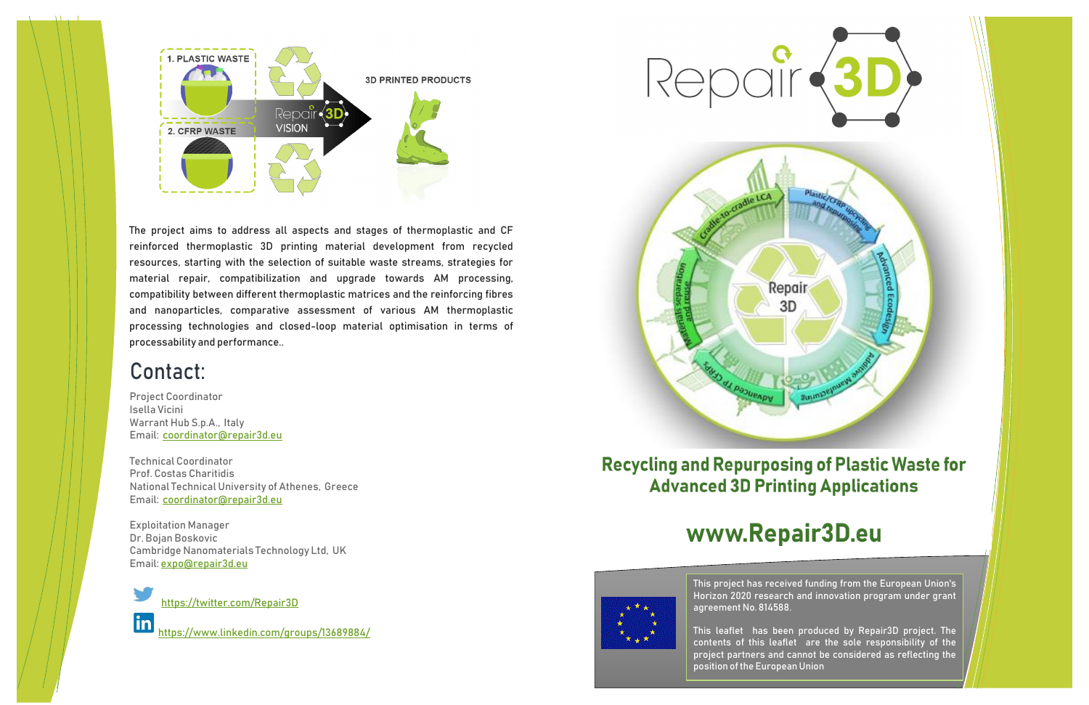Project Coordinator Isella Vicini Warrant Hub S.p.A., Italy Email: [coordinator@repair3d.eu](mailto:coordinator@repair3d.eu)

Technical Coordinator Prof. Costas Charitidis National Technical University of Athenes, Greece Email: [coordinator@repair3d.eu](mailto:coordinator@repair3d.eu)

Exploitation Manager Dr. Bojan Boskovic Cambridge Nanomaterials Technology Ltd, UK Email: [expo@repair3d.eu](mailto:expo@repair3d.eu)



<https://twitter.com/Repair3D>

<https://www.linkedin.com/groups/13689884/>



#### **Recycling and Repurposing of Plastic Waste for Advanced 3D Printing Applications**

# www.Repair3D.eu



### Contact:





The project aims to address all aspects and stages of thermoplastic and CF reinforced thermoplastic 3D printing material development from recycled resources, starting with the selection of suitable waste streams, strategies for material repair, compatibilization and upgrade towards AM processing, compatibility between different thermoplastic matrices and the reinforcing fibres and nanoparticles, comparative assessment of various AM thermoplastic processing technologies and closed-loop material optimisation in terms of processability and performance..

> This project has received funding from the European Union's Horizon 2020 research and innovation program under grant agreement No. 814588.

> This leaflet has been produced by Repair3D project. The contents of this leaflet are the sole responsibility of the project partners and cannot be considered as reflecting the position of the European Union